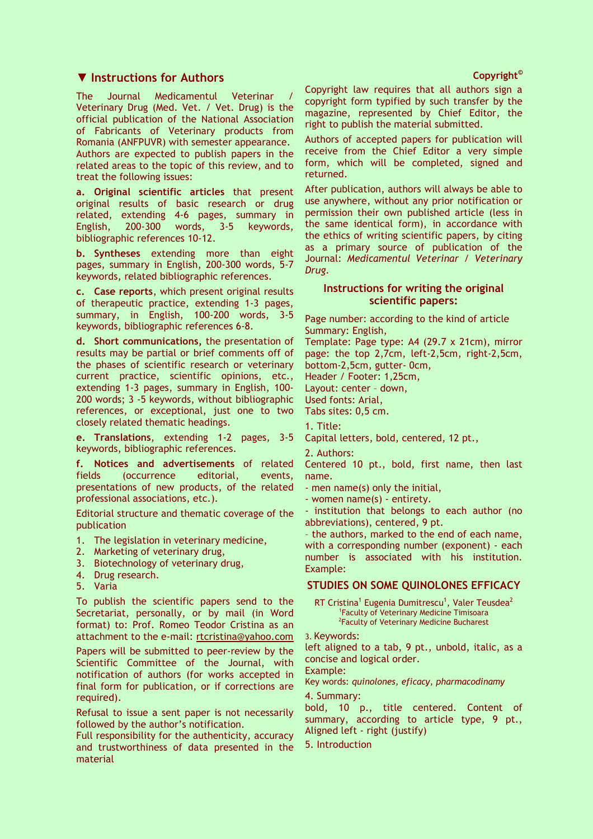## ▼ Instructions for Authors

The Journal Medicamentul Veterinar Veterinary Drug (Med. Vet. / Vet. Drug) is the official publication of the National Association of Fabricants of Veterinary products from Romania (ANFPUVR) with semester appearance. Authors are expected to publish papers in the related areas to the topic of this review, and to treat the following issues:

a. Original scientific articles that present original results of basic research or drug related, extending 4-6 pages, summary in English, 200-300 words, 3-5 keywords, bibliographic references 10-12.

b. Syntheses extending more than eight pages, summary in English, 200-300 words, 5-7 keywords, related bibliographic references.

c. Case reports, which present original results of therapeutic practice, extending 1-3 pages, summary, in English, 100-200 words, 3-5 keywords, bibliographic references 6-8.

d. Short communications, the presentation of results may be partial or brief comments off of the phases of scientific research or veterinary current practice, scientific opinions, etc., extending 1-3 pages, summary in English, 100- 200 words; 3 -5 keywords, without bibliographic references, or exceptional, just one to two closely related thematic headings.

e. Translations, extending 1-2 pages, 3-5 keywords, bibliographic references.

f. Notices and advertisements of related fields (occurrence editorial, events, presentations of new products, of the related professional associations, etc.).

Editorial structure and thematic coverage of the publication

- 1. The legislation in veterinary medicine,
- 2. Marketing of veterinary drug,
- 3. Biotechnology of veterinary drug,
- 4. Drug research.
- 5. Varia

To publish the scientific papers send to the Secretariat, personally, or by mail (in Word format) to: Prof. Romeo Teodor Cristina as an attachment to the e-mail: rtcristina@yahoo.com

Papers will be submitted to peer-review by the Scientific Committee of the Journal, with notification of authors (for works accepted in final form for publication, or if corrections are required).

Refusal to issue a sent paper is not necessarily followed by the author's notification.

Full responsibility for the authenticity, accuracy and trustworthiness of data presented in the material

Copyright law requires that all authors sign a copyright form typified by such transfer by the magazine, represented by Chief Editor, the right to publish the material submitted.

Authors of accepted papers for publication will receive from the Chief Editor a very simple form, which will be completed, signed and returned.

After publication, authors will always be able to use anywhere, without any prior notification or permission their own published article (less in the same identical form), in accordance with the ethics of writing scientific papers, by citing as a primary source of publication of the Journal: Medicamentul Veterinar / Veterinary Drug.

## Instructions for writing the original scientific papers:

Page number: according to the kind of article Summary: English,

Template: Page type: A4 (29.7 x 21cm), mirror page: the top 2,7cm, left-2,5cm, right-2,5cm, bottom-2,5cm, gutter- 0cm,

Header / Footer: 1,25cm,

Layout: center – down,

Used fonts: Arial,

Tabs sites: 0,5 cm.

1. Title:

Capital letters, bold, centered, 12 pt.,

2. Authors:

Centered 10 pt., bold, first name, then last name.

- men name(s) only the initial,
- women name(s) entirety.

- institution that belongs to each author (no abbreviations), centered, 9 pt.

– the authors, marked to the end of each name, with a corresponding number (exponent) - each number is associated with his institution. Example:

## STUDIES ON SOME QUINOLONES EFFICACY

RT Cristina $^1$  Eugenia Dumitrescu $^1$ , Valer Teusdea $^2$ 1 Faculty of Veterinary Medicine Timisoara <sup>2</sup>Faculty of Veterinary Medicine Bucharest

3. Keywords:

left aligned to a tab, 9 pt., unbold, italic, as a concise and logical order.

Example:

Key words: quinolones, eficacy, pharmacodinamy

4. Summary:

bold, 10 p., title centered. Content of summary, according to article type, 9 pt., Aligned left - right (justify)

5. Introduction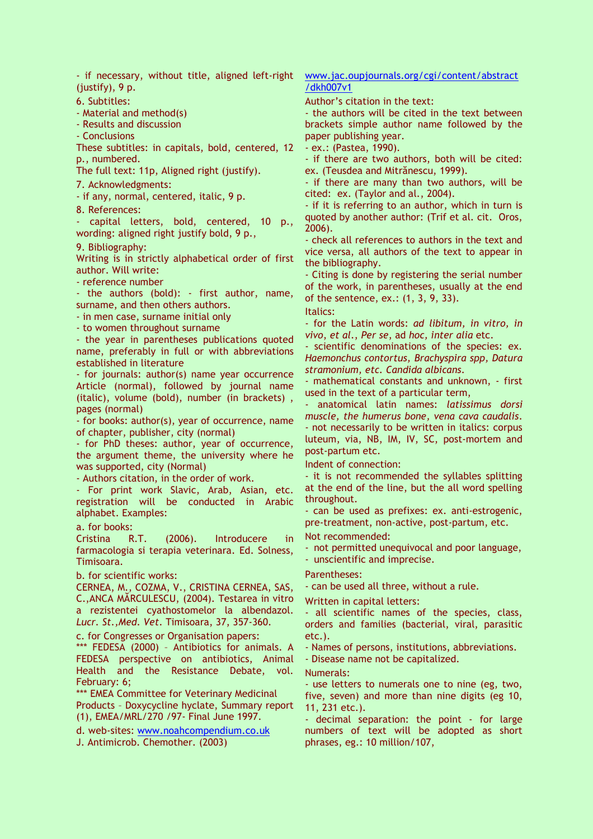- if necessary, without title, aligned left-right (justify), 9 p.

6. Subtitles:

- Material and method(s)

- Results and discussion

- Conclusions

These subtitles: in capitals, bold, centered, 12 p., numbered.

The full text: 11p, Aligned right (justify).

7. Acknowledgments:

- if any, normal, centered, italic, 9 p.

8. References:

capital letters, bold, centered, 10 p., wording: aligned right justify bold, 9 p.,

9. Bibliography:

Writing is in strictly alphabetical order of first author. Will write:

- reference number

- the authors (bold): - first author, name, surname, and then others authors.

- in men case, surname initial only

- to women throughout surname

- the year in parentheses publications quoted name, preferably in full or with abbreviations established in literature

- for journals: author(s) name year occurrence Article (normal), followed by journal name (italic), volume (bold), number (in brackets) , pages (normal)

- for books: author(s), year of occurrence, name of chapter, publisher, city (normal)

- for PhD theses: author, year of occurrence, the argument theme, the university where he was supported, city (Normal)

- Authors citation, in the order of work.

- For print work Slavic, Arab, Asian, etc. registration will be conducted in Arabic alphabet. Examples:

a. for books:

Cristina R.T. (2006). Introducere in farmacologia si terapia veterinara. Ed. Solness, Timisoara.

b. for scientific works:

CERNEA, M., COZMA, V., CRISTINA CERNEA, SAS, C.,ANCA MĂRCULESCU, (2004). Testarea in vitro a rezistentei cyathostomelor la albendazol. Lucr. St.,Med. Vet. Timisoara, 37, 357-360.

c. for Congresses or Organisation papers:

\*\*\* FEDESA (2000) – Antibiotics for animals. A FEDESA perspective on antibiotics, Animal Health and the Resistance Debate, vol. February: 6;

\*\*\* EMEA Committee for Veterinary Medicinal Products – Doxycycline hyclate, Summary report (1), EMEA/MRL/270 /97- Final June 1997.

d. web-sites: www.noahcompendium.co.uk

J. Antimicrob. Chemother. (2003)

www.jac.oupjournals.org/cgi/content/abstract /dkh007v1

Author's citation in the text:

- the authors will be cited in the text between brackets simple author name followed by the paper publishing year.

- ex.: (Pastea, 1990).

- if there are two authors, both will be cited: ex. (Teusdea and Mitrănescu, 1999).

- if there are many than two authors, will be cited: ex. (Taylor and al., 2004).

- if it is referring to an author, which in turn is quoted by another author: (Trif et al. cit. Oros, 2006).

- check all references to authors in the text and vice versa, all authors of the text to appear in the bibliography.

- Citing is done by registering the serial number of the work, in parentheses, usually at the end of the sentence, ex.: (1, 3, 9, 33).

Italics:

- for the Latin words: ad libitum, in vitro, in vivo, et al., Per se, ad hoc, inter alia etc.

- scientific denominations of the species: ex. Haemonchus contortus, Brachyspira spp, Datura stramonium, etc. Candida albicans.

- mathematical constants and unknown, - first used in the text of a particular term,

- anatomical latin names: latissimus dorsi muscle, the humerus bone, vena cava caudalis. - not necessarily to be written in italics: corpus luteum, via, NB, IM, IV, SC, post-mortem and post-partum etc.

Indent of connection:

- it is not recommended the syllables splitting at the end of the line, but the all word spelling throughout.

- can be used as prefixes: ex. anti-estrogenic, pre-treatment, non-active, post-partum, etc. Not recommended:

- not permitted unequivocal and poor language, - unscientific and imprecise.

Parentheses:

- can be used all three, without a rule.

Written in capital letters:

- all scientific names of the species, class, orders and families (bacterial, viral, parasitic etc.).

- Names of persons, institutions, abbreviations.

- Disease name not be capitalized.

Numerals:

- use letters to numerals one to nine (eg, two, five, seven) and more than nine digits (eg 10, 11, 231 etc.).

- decimal separation: the point - for large numbers of text will be adopted as short phrases, eg.: 10 million/107,